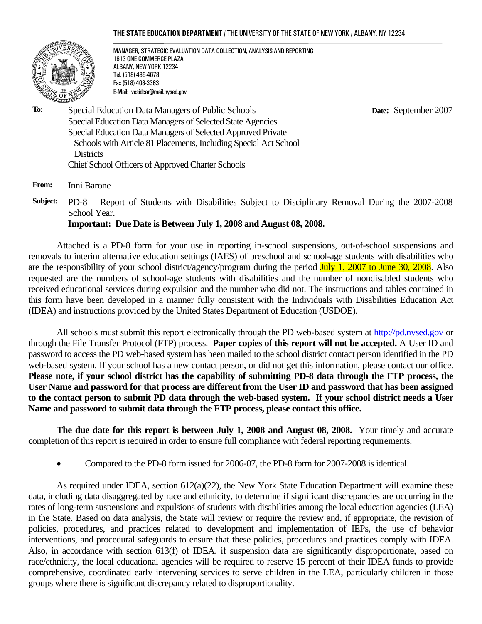#### **THE STATE EDUCATION DEPARTMENT** / THE UNIVERSITY OF THE STATE OF NEW YORK / ALBANY, NY 12234



MANAGER, STRATEGIC EVALUATION DATA COLLECTION, ANALYSIS AND REPORTING 1613 ONE COMMERCE PLAZA ALBANY, NEW YORK 12234 Tel. (518) 486-4678 Fax (518) 408-3363 E-Mail: vesidcar@mail.nysed.gov

 **Date:** September 2007

**To:** Special Education Data Managers of Public Schools Special Education Data Managers of Selected State Agencies Special Education Data Managers of Selected Approved Private Schools with Article 81 Placements, Including Special Act School **Districts** Chief School Officers of Approved Charter Schools

**From:** Inni Barone

**Subject:** PD-8 – Report of Students with Disabilities Subject to Disciplinary Removal During the 2007-2008 School Year.

**Important: Due Date is Between July 1, 2008 and August 08, 2008.**

Attached is a PD-8 form for your use in reporting in-school suspensions, out-of-school suspensions and removals to interim alternative education settings (IAES) of preschool and school-age students with disabilities who are the responsibility of your school district/agency/program during the period July 1, 2007 to June 30, 2008. Also requested are the numbers of school-age students with disabilities and the number of nondisabled students who received educational services during expulsion and the number who did not. The instructions and tables contained in this form have been developed in a manner fully consistent with the Individuals with Disabilities Education Act (IDEA) and instructions provided by the United States Department of Education (USDOE).

All schools must submit this report electronically through the PD web-based system at http://pd.nysed.gov or through the File Transfer Protocol (FTP) process. **Paper copies of this report will not be accepted.** A User ID and password to access the PD web-based system has been mailed to the school district contact person identified in the PD web-based system. If your school has a new contact person, or did not get this information, please contact our office. **Please note, if your school district has the capability of submitting PD-8 data through the FTP process, the User Name and password for that process are different from the User ID and password that has been assigned to the contact person to submit PD data through the web-based system. If your school district needs a User Name and password to submit data through the FTP process, please contact this office.** 

**The due date for this report is between July 1, 2008 and August 08, 2008.** Your timely and accurate completion of this report is required in order to ensure full compliance with federal reporting requirements.

• Compared to the PD-8 form issued for 2006-07, the PD-8 form for 2007-2008 is identical.

As required under IDEA, section 612(a)(22), the New York State Education Department will examine these data, including data disaggregated by race and ethnicity, to determine if significant discrepancies are occurring in the rates of long-term suspensions and expulsions of students with disabilities among the local education agencies (LEA) in the State. Based on data analysis, the State will review or require the review and, if appropriate, the revision of policies, procedures, and practices related to development and implementation of IEPs, the use of behavior interventions, and procedural safeguards to ensure that these policies, procedures and practices comply with IDEA. Also, in accordance with section 613(f) of IDEA, if suspension data are significantly disproportionate, based on race/ethnicity, the local educational agencies will be required to reserve 15 percent of their IDEA funds to provide comprehensive, coordinated early intervening services to serve children in the LEA, particularly children in those groups where there is significant discrepancy related to disproportionality.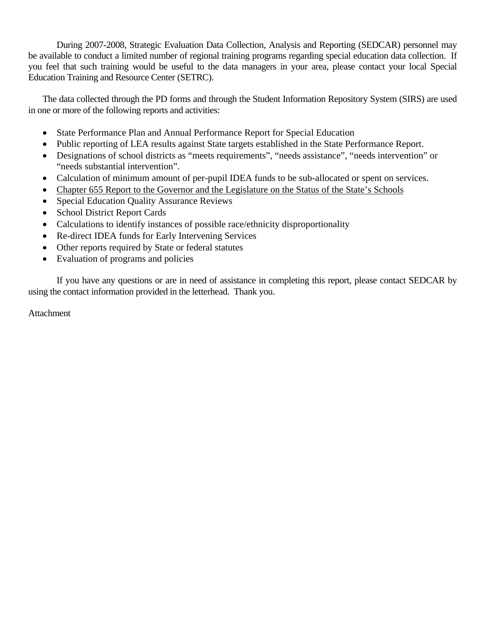During 2007-2008, Strategic Evaluation Data Collection, Analysis and Reporting (SEDCAR) personnel may be available to conduct a limited number of regional training programs regarding special education data collection. If you feel that such training would be useful to the data managers in your area, please contact your local Special Education Training and Resource Center (SETRC).

The data collected through the PD forms and through the Student Information Repository System (SIRS) are used in one or more of the following reports and activities:

- State Performance Plan and Annual Performance Report for Special Education
- Public reporting of LEA results against State targets established in the State Performance Report.
- Designations of school districts as "meets requirements", "needs assistance", "needs intervention" or "needs substantial intervention".
- Calculation of minimum amount of per-pupil IDEA funds to be sub-allocated or spent on services.
- Chapter 655 Report to the Governor and the Legislature on the Status of the State's Schools
- Special Education Quality Assurance Reviews
- School District Report Cards
- Calculations to identify instances of possible race/ethnicity disproportionality
- Re-direct IDEA funds for Early Intervening Services
- Other reports required by State or federal statutes
- Evaluation of programs and policies

If you have any questions or are in need of assistance in completing this report, please contact SEDCAR by using the contact information provided in the letterhead. Thank you.

Attachment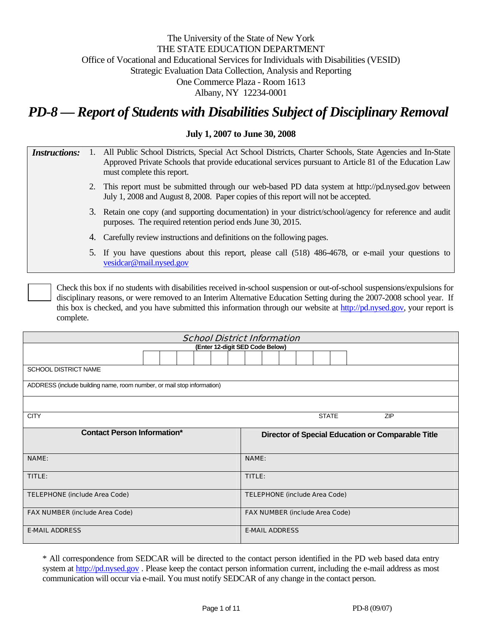# The University of the State of New York THE STATE EDUCATION DEPARTMENT Office of Vocational and Educational Services for Individuals with Disabilities (VESID) Strategic Evaluation Data Collection, Analysis and Reporting One Commerce Plaza - Room 1613 Albany, NY 12234-0001

*PD-8 — Report of Students with Disabilities Subject of Disciplinary Removal*

### **July 1, 2007 to June 30, 2008**

| <i>Instructions:</i> | 1. All Public School Districts, Special Act School Districts, Charter Schools, State Agencies and In-State |
|----------------------|------------------------------------------------------------------------------------------------------------|
|                      | Approved Private Schools that provide educational services pursuant to Article 81 of the Education Law     |
|                      | must complete this report.                                                                                 |

- 2. This report must be submitted through our web-based PD data system at http://pd.nysed.gov between July 1, 2008 and August 8, 2008. Paper copies of this report will not be accepted.
- 3. Retain one copy (and supporting documentation) in your district/school/agency for reference and audit purposes. The required retention period ends June 30, 2015.
- 4. Carefully review instructions and definitions on the following pages.
- 5. If you have questions about this report, please call (518) 486-4678, or e-mail your questions to vesidcar@mail.nysed.gov

Check this box if no students with disabilities received in-school suspension or out-of-school suspensions/expulsions for disciplinary reasons, or were removed to an Interim Alternative Education Setting during the 2007-2008 school year. If this box is checked, and you have submitted this information through our website at http://pd.nysed.gov, your report is complete.

| <b>School District Information</b>                                     |  |  |  |  |                                      |                                       |                                                   |  |  |  |  |              |  |            |  |  |
|------------------------------------------------------------------------|--|--|--|--|--------------------------------------|---------------------------------------|---------------------------------------------------|--|--|--|--|--------------|--|------------|--|--|
|                                                                        |  |  |  |  | (Enter 12-digit SED Code Below)      |                                       |                                                   |  |  |  |  |              |  |            |  |  |
|                                                                        |  |  |  |  |                                      |                                       |                                                   |  |  |  |  |              |  |            |  |  |
| <b>SCHOOL DISTRICT NAME</b>                                            |  |  |  |  |                                      |                                       |                                                   |  |  |  |  |              |  |            |  |  |
| ADDRESS (include building name, room number, or mail stop information) |  |  |  |  |                                      |                                       |                                                   |  |  |  |  |              |  |            |  |  |
|                                                                        |  |  |  |  |                                      |                                       |                                                   |  |  |  |  |              |  |            |  |  |
| <b>CITY</b>                                                            |  |  |  |  |                                      |                                       |                                                   |  |  |  |  | <b>STATE</b> |  | <b>ZIP</b> |  |  |
| <b>Contact Person Information*</b>                                     |  |  |  |  |                                      |                                       | Director of Special Education or Comparable Title |  |  |  |  |              |  |            |  |  |
| <b>NAME:</b>                                                           |  |  |  |  |                                      |                                       | <b>NAME:</b>                                      |  |  |  |  |              |  |            |  |  |
| TITLE:                                                                 |  |  |  |  |                                      | TITLE:                                |                                                   |  |  |  |  |              |  |            |  |  |
| <b>TELEPHONE (include Area Code)</b>                                   |  |  |  |  | <b>TELEPHONE (include Area Code)</b> |                                       |                                                   |  |  |  |  |              |  |            |  |  |
| <b>FAX NUMBER (include Area Code)</b>                                  |  |  |  |  |                                      | <b>FAX NUMBER (include Area Code)</b> |                                                   |  |  |  |  |              |  |            |  |  |
| <b>E-MAIL ADDRESS</b>                                                  |  |  |  |  |                                      | <b>E-MAIL ADDRESS</b>                 |                                                   |  |  |  |  |              |  |            |  |  |

\* All correspondence from SEDCAR will be directed to the contact person identified in the PD web based data entry system at http://pd.nysed.gov. Please keep the contact person information current, including the e-mail address as most communication will occur via e-mail. You must notify SEDCAR of any change in the contact person.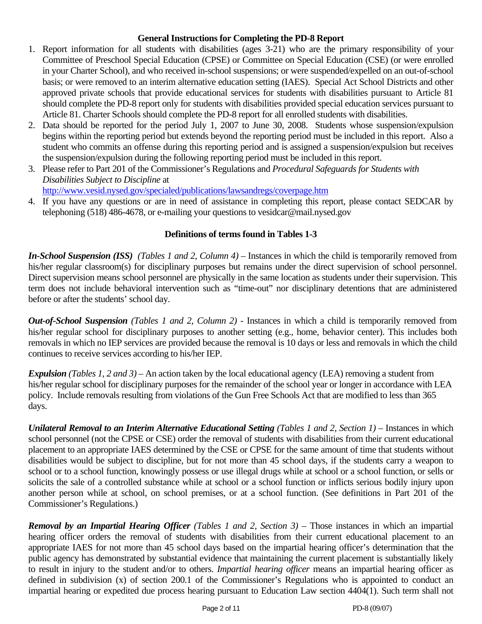## **General Instructions for Completing the PD-8 Report**

- 1. Report information for all students with disabilities (ages 3-21) who are the primary responsibility of your Committee of Preschool Special Education (CPSE) or Committee on Special Education (CSE) (or were enrolled in your Charter School), and who received in-school suspensions; or were suspended/expelled on an out-of-school basis; or were removed to an interim alternative education setting (IAES). Special Act School Districts and other approved private schools that provide educational services for students with disabilities pursuant to Article 81 should complete the PD-8 report only for students with disabilities provided special education services pursuant to Article 81. Charter Schools should complete the PD-8 report for all enrolled students with disabilities.
- 2. Data should be reported for the period July 1, 2007 to June 30, 2008. Students whose suspension/expulsion begins within the reporting period but extends beyond the reporting period must be included in this report. Also a student who commits an offense during this reporting period and is assigned a suspension/expulsion but receives the suspension/expulsion during the following reporting period must be included in this report.
- 3. Please refer to Part 201 of the Commissioner's Regulations and *Procedural Safeguards for Students with Disabilities Subject to Discipline* at

http://www.vesid.nysed.gov/specialed/publications/lawsandregs/coverpage.htm

4. If you have any questions or are in need of assistance in completing this report, please contact SEDCAR by telephoning (518) 486-4678, or e-mailing your questions to vesidcar@mail.nysed.gov

# **Definitions of terms found in Tables 1-3**

*In-School Suspension (ISS) (Tables 1 and 2, Column 4)* – Instances in which the child is temporarily removed from his/her regular classroom(s) for disciplinary purposes but remains under the direct supervision of school personnel. Direct supervision means school personnel are physically in the same location as students under their supervision. This term does not include behavioral intervention such as "time-out" nor disciplinary detentions that are administered before or after the students' school day.

*Out-of-School Suspension (Tables 1 and 2, Column 2) -* Instances in which a child is temporarily removed from his/her regular school for disciplinary purposes to another setting (e.g., home, behavior center). This includes both removals in which no IEP services are provided because the removal is 10 days or less and removals in which the child continues to receive services according to his/her IEP.

*Expulsion (Tables 1, 2 and 3)* – An action taken by the local educational agency (LEA) removing a student from his/her regular school for disciplinary purposes for the remainder of the school year or longer in accordance with LEA policy. Include removals resulting from violations of the Gun Free Schools Act that are modified to less than 365 days.

*Unilateral Removal to an Interim Alternative Educational Setting (Tables 1 and 2, Section 1)* – Instances in which school personnel (not the CPSE or CSE) order the removal of students with disabilities from their current educational placement to an appropriate IAES determined by the CSE or CPSE for the same amount of time that students without disabilities would be subject to discipline, but for not more than 45 school days, if the students carry a weapon to school or to a school function, knowingly possess or use illegal drugs while at school or a school function, or sells or solicits the sale of a controlled substance while at school or a school function or inflicts serious bodily injury upon another person while at school, on school premises, or at a school function. (See definitions in Part 201 of the Commissioner's Regulations.)

*Removal by an Impartial Hearing Officer (Tables 1 and 2, Section 3)* – Those instances in which an impartial hearing officer orders the removal of students with disabilities from their current educational placement to an appropriate IAES for not more than 45 school days based on the impartial hearing officer's determination that the public agency has demonstrated by substantial evidence that maintaining the current placement is substantially likely to result in injury to the student and/or to others. *Impartial hearing officer* means an impartial hearing officer as defined in subdivision (x) of section 200.1 of the Commissioner's Regulations who is appointed to conduct an impartial hearing or expedited due process hearing pursuant to Education Law section 4404(1). Such term shall not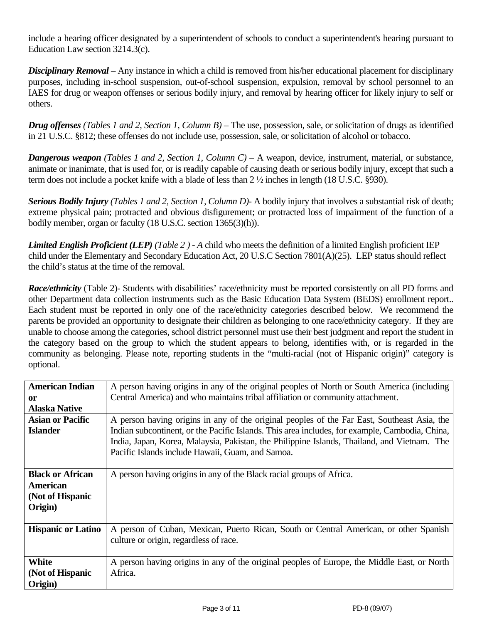include a hearing officer designated by a superintendent of schools to conduct a superintendent's hearing pursuant to Education Law section 3214.3(c).

*Disciplinary Removal* – Any instance in which a child is removed from his/her educational placement for disciplinary purposes, including in-school suspension, out-of-school suspension, expulsion, removal by school personnel to an IAES for drug or weapon offenses or serious bodily injury, and removal by hearing officer for likely injury to self or others.

*Drug offenses (Tables 1 and 2, Section 1, Column B)* – The use, possession, sale, or solicitation of drugs as identified in 21 U.S.C. §812; these offenses do not include use, possession, sale, or solicitation of alcohol or tobacco.

*Dangerous weapon (Tables 1 and 2, Section 1, Column C)* – A weapon, device, instrument, material, or substance, animate or inanimate, that is used for, or is readily capable of causing death or serious bodily injury, except that such a term does not include a pocket knife with a blade of less than 2 ½ inches in length (18 U.S.C. §930).

*Serious Bodily Injury (Tables 1 and 2, Section 1, Column D)-* A bodily injury that involves a substantial risk of death; extreme physical pain; protracted and obvious disfigurement; or protracted loss of impairment of the function of a bodily member, organ or faculty (18 U.S.C. section 1365(3)(h)).

*Limited English Proficient (LEP) (Table 2 ) - A* child who meets the definition of a limited English proficient IEP child under the Elementary and Secondary Education Act, 20 U.S.C Section 7801(A)(25). LEP status should reflect the child's status at the time of the removal.

*Race/ethnicity* (Table 2)- Students with disabilities' race/ethnicity must be reported consistently on all PD forms and other Department data collection instruments such as the Basic Education Data System (BEDS) enrollment report.. Each student must be reported in only one of the race/ethnicity categories described below. We recommend the parents be provided an opportunity to designate their children as belonging to one race/ethnicity category. If they are unable to choose among the categories, school district personnel must use their best judgment and report the student in the category based on the group to which the student appears to belong, identifies with, or is regarded in the community as belonging. Please note, reporting students in the "multi-racial (not of Hispanic origin)" category is optional.

| <b>American Indian</b><br><sub>or</sub><br><b>Alaska Native</b>    | A person having origins in any of the original peoples of North or South America (including<br>Central America) and who maintains tribal affiliation or community attachment.                                                                                                                                                                    |
|--------------------------------------------------------------------|--------------------------------------------------------------------------------------------------------------------------------------------------------------------------------------------------------------------------------------------------------------------------------------------------------------------------------------------------|
| <b>Asian or Pacific</b><br><b>Islander</b>                         | A person having origins in any of the original peoples of the Far East, Southeast Asia, the<br>Indian subcontinent, or the Pacific Islands. This area includes, for example, Cambodia, China,<br>India, Japan, Korea, Malaysia, Pakistan, the Philippine Islands, Thailand, and Vietnam. The<br>Pacific Islands include Hawaii, Guam, and Samoa. |
| <b>Black or African</b><br>American<br>(Not of Hispanic<br>Origin) | A person having origins in any of the Black racial groups of Africa.                                                                                                                                                                                                                                                                             |
| <b>Hispanic or Latino</b>                                          | A person of Cuban, Mexican, Puerto Rican, South or Central American, or other Spanish<br>culture or origin, regardless of race.                                                                                                                                                                                                                  |
| White<br>(Not of Hispanic<br>Origin)                               | A person having origins in any of the original peoples of Europe, the Middle East, or North<br>Africa.                                                                                                                                                                                                                                           |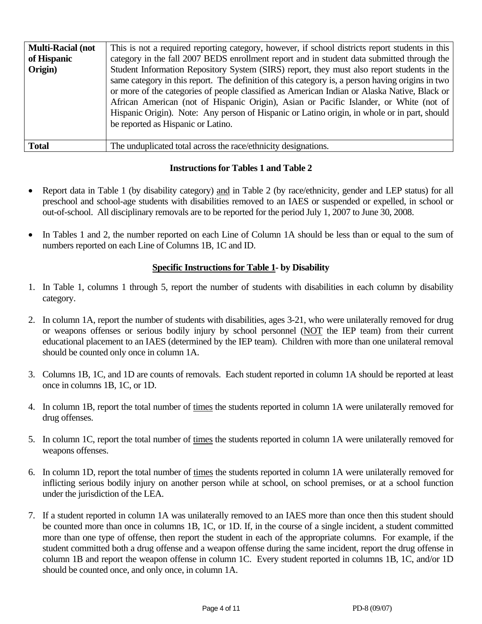| <b>Multi-Racial (not</b> | This is not a required reporting category, however, if school districts report students in this                                                                                                                                                                                                                                                                                                                                                                                          |
|--------------------------|------------------------------------------------------------------------------------------------------------------------------------------------------------------------------------------------------------------------------------------------------------------------------------------------------------------------------------------------------------------------------------------------------------------------------------------------------------------------------------------|
| of Hispanic              | category in the fall 2007 BEDS enrollment report and in student data submitted through the                                                                                                                                                                                                                                                                                                                                                                                               |
| Origin)                  | Student Information Repository System (SIRS) report, they must also report students in the<br>same category in this report. The definition of this category is, a person having origins in two<br>or more of the categories of people classified as American Indian or Alaska Native, Black or<br>African American (not of Hispanic Origin), Asian or Pacific Islander, or White (not of<br>Hispanic Origin). Note: Any person of Hispanic or Latino origin, in whole or in part, should |
|                          | be reported as Hispanic or Latino.                                                                                                                                                                                                                                                                                                                                                                                                                                                       |
| <b>Total</b>             | The unduplicated total across the race/ethnicity designations.                                                                                                                                                                                                                                                                                                                                                                                                                           |

# **Instructions for Tables 1 and Table 2**

- Report data in Table 1 (by disability category) and in Table 2 (by race/ethnicity, gender and LEP status) for all preschool and school-age students with disabilities removed to an IAES or suspended or expelled, in school or out-of-school. All disciplinary removals are to be reported for the period July 1, 2007 to June 30, 2008.
- In Tables 1 and 2, the number reported on each Line of Column 1A should be less than or equal to the sum of numbers reported on each Line of Columns 1B, 1C and ID.

# **Specific Instructions for Table 1- by Disability**

- 1. In Table 1, columns 1 through 5, report the number of students with disabilities in each column by disability category.
- 2. In column 1A, report the number of students with disabilities, ages 3-21, who were unilaterally removed for drug or weapons offenses or serious bodily injury by school personnel (NOT the IEP team) from their current educational placement to an IAES (determined by the IEP team). Children with more than one unilateral removal should be counted only once in column 1A.
- 3. Columns 1B, 1C, and 1D are counts of removals. Each student reported in column 1A should be reported at least once in columns 1B, 1C, or 1D.
- 4. In column 1B, report the total number of times the students reported in column 1A were unilaterally removed for drug offenses.
- 5. In column 1C, report the total number of times the students reported in column 1A were unilaterally removed for weapons offenses.
- 6. In column 1D, report the total number of times the students reported in column 1A were unilaterally removed for inflicting serious bodily injury on another person while at school, on school premises, or at a school function under the jurisdiction of the LEA.
- 7. If a student reported in column 1A was unilaterally removed to an IAES more than once then this student should be counted more than once in columns 1B, 1C, or 1D. If, in the course of a single incident, a student committed more than one type of offense, then report the student in each of the appropriate columns. For example, if the student committed both a drug offense and a weapon offense during the same incident, report the drug offense in column 1B and report the weapon offense in column 1C. Every student reported in columns 1B, 1C, and/or 1D should be counted once, and only once, in column 1A.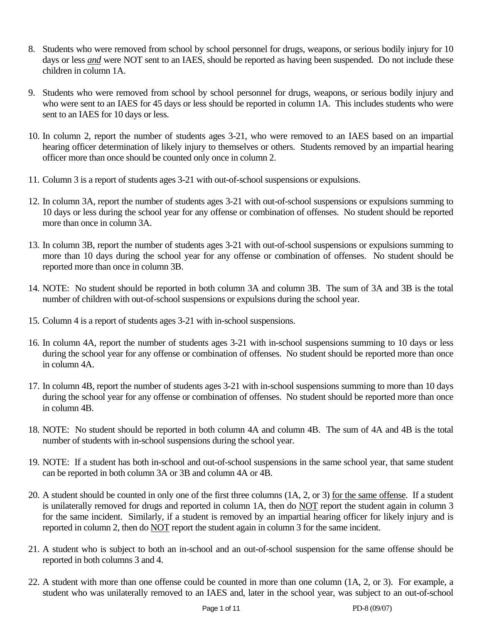- 8. Students who were removed from school by school personnel for drugs, weapons, or serious bodily injury for 10 days or less *and* were NOT sent to an IAES, should be reported as having been suspended. Do not include these children in column 1A.
- 9. Students who were removed from school by school personnel for drugs, weapons, or serious bodily injury and who were sent to an IAES for 45 days or less should be reported in column 1A. This includes students who were sent to an IAES for 10 days or less.
- 10. In column 2, report the number of students ages 3-21, who were removed to an IAES based on an impartial hearing officer determination of likely injury to themselves or others. Students removed by an impartial hearing officer more than once should be counted only once in column 2.
- 11. Column 3 is a report of students ages 3-21 with out-of-school suspensions or expulsions.
- 12. In column 3A, report the number of students ages 3-21 with out-of-school suspensions or expulsions summing to 10 days or less during the school year for any offense or combination of offenses. No student should be reported more than once in column 3A.
- 13. In column 3B, report the number of students ages 3-21 with out-of-school suspensions or expulsions summing to more than 10 days during the school year for any offense or combination of offenses. No student should be reported more than once in column 3B.
- 14. NOTE: No student should be reported in both column 3A and column 3B. The sum of 3A and 3B is the total number of children with out-of-school suspensions or expulsions during the school year.
- 15. Column 4 is a report of students ages 3-21 with in-school suspensions.
- 16. In column 4A, report the number of students ages 3-21 with in-school suspensions summing to 10 days or less during the school year for any offense or combination of offenses. No student should be reported more than once in column 4A.
- 17. In column 4B, report the number of students ages 3-21 with in-school suspensions summing to more than 10 days during the school year for any offense or combination of offenses. No student should be reported more than once in column 4B.
- 18. NOTE: No student should be reported in both column 4A and column 4B. The sum of 4A and 4B is the total number of students with in-school suspensions during the school year.
- 19. NOTE: If a student has both in-school and out-of-school suspensions in the same school year, that same student can be reported in both column 3A or 3B and column 4A or 4B.
- 20. A student should be counted in only one of the first three columns (1A, 2, or 3) for the same offense. If a student is unilaterally removed for drugs and reported in column 1A, then do NOT report the student again in column 3 for the same incident. Similarly, if a student is removed by an impartial hearing officer for likely injury and is reported in column 2, then do NOT report the student again in column 3 for the same incident.
- 21. A student who is subject to both an in-school and an out-of-school suspension for the same offense should be reported in both columns 3 and 4.
- 22. A student with more than one offense could be counted in more than one column (1A, 2, or 3). For example, a student who was unilaterally removed to an IAES and, later in the school year, was subject to an out-of-school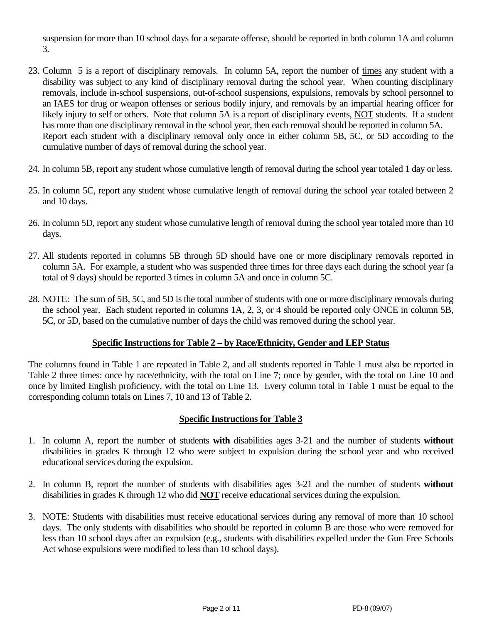suspension for more than 10 school days for a separate offense, should be reported in both column 1A and column 3.

- 23. Column 5 is a report of disciplinary removals. In column 5A, report the number of times any student with a disability was subject to any kind of disciplinary removal during the school year. When counting disciplinary removals, include in-school suspensions, out-of-school suspensions, expulsions, removals by school personnel to an IAES for drug or weapon offenses or serious bodily injury, and removals by an impartial hearing officer for likely injury to self or others. Note that column 5A is a report of disciplinary events, NOT students. If a student has more than one disciplinary removal in the school year, then each removal should be reported in column 5A. Report each student with a disciplinary removal only once in either column 5B, 5C, or 5D according to the cumulative number of days of removal during the school year.
- 24. In column 5B, report any student whose cumulative length of removal during the school year totaled 1 day or less.
- 25. In column 5C, report any student whose cumulative length of removal during the school year totaled between 2 and 10 days.
- 26. In column 5D, report any student whose cumulative length of removal during the school year totaled more than 10 days.
- 27. All students reported in columns 5B through 5D should have one or more disciplinary removals reported in column 5A. For example, a student who was suspended three times for three days each during the school year (a total of 9 days) should be reported 3 times in column 5A and once in column 5C.
- 28. NOTE: The sum of 5B, 5C, and 5D is the total number of students with one or more disciplinary removals during the school year. Each student reported in columns 1A, 2, 3, or 4 should be reported only ONCE in column 5B, 5C, or 5D, based on the cumulative number of days the child was removed during the school year.

# **Specific Instructions for Table 2 – by Race/Ethnicity, Gender and LEP Status**

The columns found in Table 1 are repeated in Table 2, and all students reported in Table 1 must also be reported in Table 2 three times: once by race/ethnicity, with the total on Line 7; once by gender, with the total on Line 10 and once by limited English proficiency, with the total on Line 13. Every column total in Table 1 must be equal to the corresponding column totals on Lines 7, 10 and 13 of Table 2.

# **Specific Instructions for Table 3**

- 1. In column A, report the number of students **with** disabilities ages 3-21 and the number of students **without**  disabilities in grades K through 12 who were subject to expulsion during the school year and who received educational services during the expulsion.
- 2. In column B, report the number of students with disabilities ages 3-21 and the number of students **without**  disabilities in grades K through 12 who did **NOT** receive educational services during the expulsion.
- 3. NOTE: Students with disabilities must receive educational services during any removal of more than 10 school days. The only students with disabilities who should be reported in column B are those who were removed for less than 10 school days after an expulsion (e.g., students with disabilities expelled under the Gun Free Schools Act whose expulsions were modified to less than 10 school days).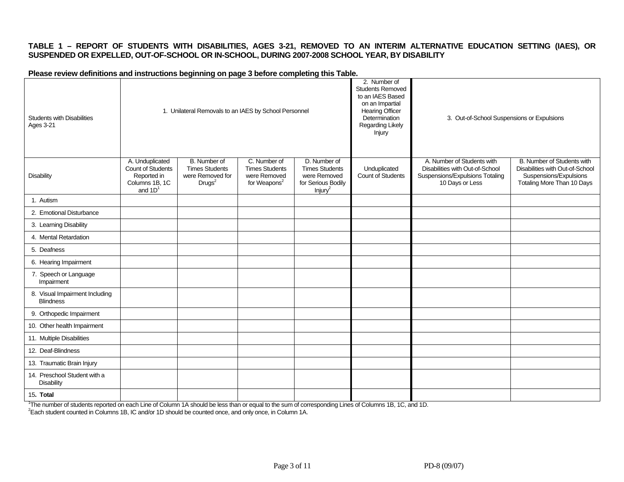### **TABLE 1 – REPORT OF STUDENTS WITH DISABILITIES, AGES 3-21, REMOVED TO AN INTERIM ALTERNATIVE EDUCATION SETTING (IAES), OR SUSPENDED OR EXPELLED, OUT-OF-SCHOOL OR IN-SCHOOL, DURING 2007-2008 SCHOOL YEAR, BY DISABILITY**

#### **Please review definitions and instructions beginning on page 3 before completing this Table.**

| <b>Students with Disabilities</b><br>Ages 3-21     |                                                                                    | 1. Unilateral Removals to an IAES by School Personnel                                  |                                                                                   |                                                                                                    | 2. Number of<br><b>Students Removed</b><br>to an IAES Based<br>on an Impartial<br><b>Hearing Officer</b><br>Determination<br><b>Regarding Likely</b><br>Injury | 3. Out-of-School Suspensions or Expulsions                                                                          |                                                                                                                       |
|----------------------------------------------------|------------------------------------------------------------------------------------|----------------------------------------------------------------------------------------|-----------------------------------------------------------------------------------|----------------------------------------------------------------------------------------------------|----------------------------------------------------------------------------------------------------------------------------------------------------------------|---------------------------------------------------------------------------------------------------------------------|-----------------------------------------------------------------------------------------------------------------------|
| <b>Disability</b>                                  | A. Unduplicated<br>Count of Students<br>Reported in<br>Columns 1B, 1C<br>and $1D1$ | <b>B.</b> Number of<br><b>Times Students</b><br>were Removed for<br>Drugs <sup>2</sup> | C. Number of<br><b>Times Students</b><br>were Removed<br>for Weapons <sup>2</sup> | D. Number of<br><b>Times Students</b><br>were Removed<br>for Serious Bodily<br>Injury <sup>2</sup> | Unduplicated<br>Count of Students                                                                                                                              | A. Number of Students with<br>Disabilities with Out-of-School<br>Suspensions/Expulsions Totaling<br>10 Days or Less | B. Number of Students with<br>Disabilities with Out-of-School<br>Suspensions/Expulsions<br>Totaling More Than 10 Days |
| 1. Autism                                          |                                                                                    |                                                                                        |                                                                                   |                                                                                                    |                                                                                                                                                                |                                                                                                                     |                                                                                                                       |
| 2. Emotional Disturbance                           |                                                                                    |                                                                                        |                                                                                   |                                                                                                    |                                                                                                                                                                |                                                                                                                     |                                                                                                                       |
| 3. Learning Disability                             |                                                                                    |                                                                                        |                                                                                   |                                                                                                    |                                                                                                                                                                |                                                                                                                     |                                                                                                                       |
| 4. Mental Retardation                              |                                                                                    |                                                                                        |                                                                                   |                                                                                                    |                                                                                                                                                                |                                                                                                                     |                                                                                                                       |
| 5. Deafness                                        |                                                                                    |                                                                                        |                                                                                   |                                                                                                    |                                                                                                                                                                |                                                                                                                     |                                                                                                                       |
| 6. Hearing Impairment                              |                                                                                    |                                                                                        |                                                                                   |                                                                                                    |                                                                                                                                                                |                                                                                                                     |                                                                                                                       |
| 7. Speech or Language<br>Impairment                |                                                                                    |                                                                                        |                                                                                   |                                                                                                    |                                                                                                                                                                |                                                                                                                     |                                                                                                                       |
| 8. Visual Impairment Including<br><b>Blindness</b> |                                                                                    |                                                                                        |                                                                                   |                                                                                                    |                                                                                                                                                                |                                                                                                                     |                                                                                                                       |
| 9. Orthopedic Impairment                           |                                                                                    |                                                                                        |                                                                                   |                                                                                                    |                                                                                                                                                                |                                                                                                                     |                                                                                                                       |
| 10. Other health Impairment                        |                                                                                    |                                                                                        |                                                                                   |                                                                                                    |                                                                                                                                                                |                                                                                                                     |                                                                                                                       |
| 11. Multiple Disabilities                          |                                                                                    |                                                                                        |                                                                                   |                                                                                                    |                                                                                                                                                                |                                                                                                                     |                                                                                                                       |
| 12. Deaf-Blindness                                 |                                                                                    |                                                                                        |                                                                                   |                                                                                                    |                                                                                                                                                                |                                                                                                                     |                                                                                                                       |
| 13. Traumatic Brain Injury                         |                                                                                    |                                                                                        |                                                                                   |                                                                                                    |                                                                                                                                                                |                                                                                                                     |                                                                                                                       |
| 14. Preschool Student with a<br><b>Disability</b>  |                                                                                    |                                                                                        |                                                                                   |                                                                                                    |                                                                                                                                                                |                                                                                                                     |                                                                                                                       |
| 15. Total                                          |                                                                                    |                                                                                        |                                                                                   |                                                                                                    |                                                                                                                                                                |                                                                                                                     |                                                                                                                       |

<sup>1</sup>The number of students reported on each Line of Column 1A should be less than or equal to the sum of corresponding Lines of Columns 1B, 1C, and 1D.<br><sup>2</sup>Each student counted in Columns 1B, IC and/or 1D should be counted o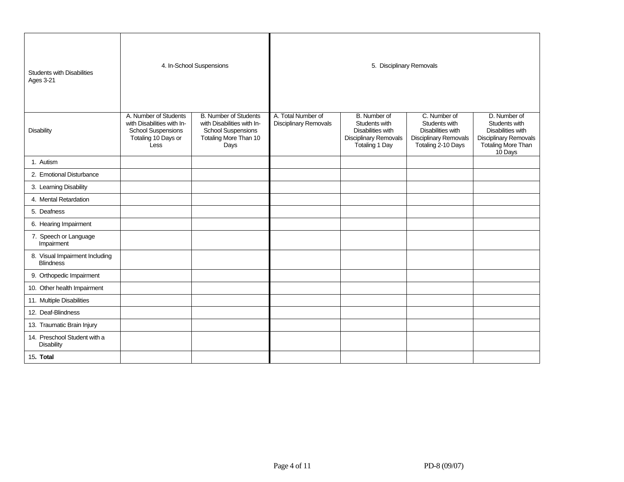| <b>Students with Disabilities</b><br><b>Ages 3-21</b> |                                                                                                                 | 4. In-School Suspensions                                                                                                 | 5. Disciplinary Removals                    |                                                                                                      |                                                                                                                 |                                                                                                                            |  |  |
|-------------------------------------------------------|-----------------------------------------------------------------------------------------------------------------|--------------------------------------------------------------------------------------------------------------------------|---------------------------------------------|------------------------------------------------------------------------------------------------------|-----------------------------------------------------------------------------------------------------------------|----------------------------------------------------------------------------------------------------------------------------|--|--|
| <b>Disability</b>                                     | A. Number of Students<br>with Disabilities with In-<br><b>School Suspensions</b><br>Totaling 10 Days or<br>Less | <b>B. Number of Students</b><br>with Disabilities with In-<br><b>School Suspensions</b><br>Totaling More Than 10<br>Days | A. Total Number of<br>Disciplinary Removals | B. Number of<br>Students with<br>Disabilities with<br><b>Disciplinary Removals</b><br>Totaling 1 Day | C. Number of<br>Students with<br><b>Disabilities with</b><br><b>Disciplinary Removals</b><br>Totaling 2-10 Days | D. Number of<br>Students with<br><b>Disabilities with</b><br><b>Disciplinary Removals</b><br>Totaling More Than<br>10 Days |  |  |
| 1. Autism                                             |                                                                                                                 |                                                                                                                          |                                             |                                                                                                      |                                                                                                                 |                                                                                                                            |  |  |
| 2. Emotional Disturbance                              |                                                                                                                 |                                                                                                                          |                                             |                                                                                                      |                                                                                                                 |                                                                                                                            |  |  |
| 3. Learning Disability                                |                                                                                                                 |                                                                                                                          |                                             |                                                                                                      |                                                                                                                 |                                                                                                                            |  |  |
| 4. Mental Retardation                                 |                                                                                                                 |                                                                                                                          |                                             |                                                                                                      |                                                                                                                 |                                                                                                                            |  |  |
| 5. Deafness                                           |                                                                                                                 |                                                                                                                          |                                             |                                                                                                      |                                                                                                                 |                                                                                                                            |  |  |
| 6. Hearing Impairment                                 |                                                                                                                 |                                                                                                                          |                                             |                                                                                                      |                                                                                                                 |                                                                                                                            |  |  |
| 7. Speech or Language<br>Impairment                   |                                                                                                                 |                                                                                                                          |                                             |                                                                                                      |                                                                                                                 |                                                                                                                            |  |  |
| 8. Visual Impairment Including<br><b>Blindness</b>    |                                                                                                                 |                                                                                                                          |                                             |                                                                                                      |                                                                                                                 |                                                                                                                            |  |  |
| 9. Orthopedic Impairment                              |                                                                                                                 |                                                                                                                          |                                             |                                                                                                      |                                                                                                                 |                                                                                                                            |  |  |
| 10. Other health Impairment                           |                                                                                                                 |                                                                                                                          |                                             |                                                                                                      |                                                                                                                 |                                                                                                                            |  |  |
| 11. Multiple Disabilities                             |                                                                                                                 |                                                                                                                          |                                             |                                                                                                      |                                                                                                                 |                                                                                                                            |  |  |
| 12. Deaf-Blindness                                    |                                                                                                                 |                                                                                                                          |                                             |                                                                                                      |                                                                                                                 |                                                                                                                            |  |  |
| 13. Traumatic Brain Injury                            |                                                                                                                 |                                                                                                                          |                                             |                                                                                                      |                                                                                                                 |                                                                                                                            |  |  |
| 14. Preschool Student with a<br>Disability            |                                                                                                                 |                                                                                                                          |                                             |                                                                                                      |                                                                                                                 |                                                                                                                            |  |  |
| 15. Total                                             |                                                                                                                 |                                                                                                                          |                                             |                                                                                                      |                                                                                                                 |                                                                                                                            |  |  |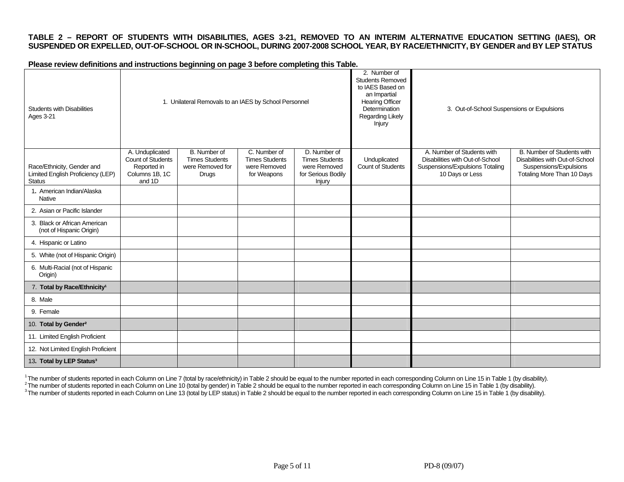### **TABLE 2 – REPORT OF STUDENTS WITH DISABILITIES, AGES 3-21, REMOVED TO AN INTERIM ALTERNATIVE EDUCATION SETTING (IAES), OR SUSPENDED OR EXPELLED, OUT-OF-SCHOOL OR IN-SCHOOL, DURING 2007-2008 SCHOOL YEAR, BY RACE/ETHNICITY, BY GENDER and BY LEP STATUS**

**Please review definitions and instructions beginning on page 3 before completing this Table.** 

| <b>Students with Disabilities</b><br>Ages 3-21                                   |                                                                                 | 1. Unilateral Removals to an IAES by School Personnel                     |                                                                      |                                                                                       | 2. Number of<br><b>Students Removed</b><br>to IAES Based on<br>an Impartial<br><b>Hearing Officer</b><br>Determination<br>Regarding Likely<br>Injury | 3. Out-of-School Suspensions or Expulsions                                                                          |                                                                                                                       |
|----------------------------------------------------------------------------------|---------------------------------------------------------------------------------|---------------------------------------------------------------------------|----------------------------------------------------------------------|---------------------------------------------------------------------------------------|------------------------------------------------------------------------------------------------------------------------------------------------------|---------------------------------------------------------------------------------------------------------------------|-----------------------------------------------------------------------------------------------------------------------|
| Race/Ethnicity, Gender and<br>Limited English Proficiency (LEP)<br><b>Status</b> | A. Unduplicated<br>Count of Students<br>Reported in<br>Columns 1B, 1C<br>and 1D | B. Number of<br><b>Times Students</b><br>were Removed for<br><b>Drugs</b> | C. Number of<br><b>Times Students</b><br>were Removed<br>for Weapons | D. Number of<br><b>Times Students</b><br>were Removed<br>for Serious Bodily<br>Injury | Unduplicated<br>Count of Students                                                                                                                    | A. Number of Students with<br>Disabilities with Out-of-School<br>Suspensions/Expulsions Totaling<br>10 Days or Less | B. Number of Students with<br>Disabilities with Out-of-School<br>Suspensions/Expulsions<br>Totaling More Than 10 Days |
| 1. American Indian/Alaska<br>Native                                              |                                                                                 |                                                                           |                                                                      |                                                                                       |                                                                                                                                                      |                                                                                                                     |                                                                                                                       |
| 2. Asian or Pacific Islander                                                     |                                                                                 |                                                                           |                                                                      |                                                                                       |                                                                                                                                                      |                                                                                                                     |                                                                                                                       |
| 3. Black or African American<br>(not of Hispanic Origin)                         |                                                                                 |                                                                           |                                                                      |                                                                                       |                                                                                                                                                      |                                                                                                                     |                                                                                                                       |
| 4. Hispanic or Latino                                                            |                                                                                 |                                                                           |                                                                      |                                                                                       |                                                                                                                                                      |                                                                                                                     |                                                                                                                       |
| 5. White (not of Hispanic Origin)                                                |                                                                                 |                                                                           |                                                                      |                                                                                       |                                                                                                                                                      |                                                                                                                     |                                                                                                                       |
| 6. Multi-Racial (not of Hispanic<br>Origin)                                      |                                                                                 |                                                                           |                                                                      |                                                                                       |                                                                                                                                                      |                                                                                                                     |                                                                                                                       |
| 7. Total by Race/Ethnicity <sup>1</sup>                                          |                                                                                 |                                                                           |                                                                      |                                                                                       |                                                                                                                                                      |                                                                                                                     |                                                                                                                       |
| 8. Male                                                                          |                                                                                 |                                                                           |                                                                      |                                                                                       |                                                                                                                                                      |                                                                                                                     |                                                                                                                       |
| 9. Female                                                                        |                                                                                 |                                                                           |                                                                      |                                                                                       |                                                                                                                                                      |                                                                                                                     |                                                                                                                       |
| 10. Total by Gender <sup>2</sup>                                                 |                                                                                 |                                                                           |                                                                      |                                                                                       |                                                                                                                                                      |                                                                                                                     |                                                                                                                       |
| 11. Limited English Proficient                                                   |                                                                                 |                                                                           |                                                                      |                                                                                       |                                                                                                                                                      |                                                                                                                     |                                                                                                                       |
| 12. Not Limited English Proficient                                               |                                                                                 |                                                                           |                                                                      |                                                                                       |                                                                                                                                                      |                                                                                                                     |                                                                                                                       |
| 13. Total by LEP Status <sup>3</sup>                                             |                                                                                 |                                                                           |                                                                      |                                                                                       |                                                                                                                                                      |                                                                                                                     |                                                                                                                       |

<sup>1</sup>The number of students reported in each Column on Line 7 (total by race/ethnicity) in Table 2 should be equal to the number reported in each corresponding Column on Line 15 in Table 1 (by disability).<br><sup>2</sup>The number of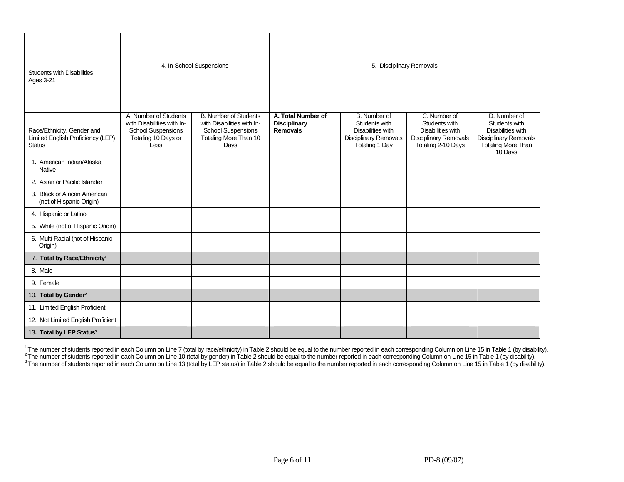| <b>Students with Disabilities</b><br><b>Ages 3-21</b>                            |                                                                                                                 | 4. In-School Suspensions                                                                                                 |                                                              | 5. Disciplinary Removals                                                                                    |                                                                                                   |                                                                                                                            |  |  |  |
|----------------------------------------------------------------------------------|-----------------------------------------------------------------------------------------------------------------|--------------------------------------------------------------------------------------------------------------------------|--------------------------------------------------------------|-------------------------------------------------------------------------------------------------------------|---------------------------------------------------------------------------------------------------|----------------------------------------------------------------------------------------------------------------------------|--|--|--|
| Race/Ethnicity, Gender and<br>Limited English Proficiency (LEP)<br><b>Status</b> | A. Number of Students<br>with Disabilities with In-<br><b>School Suspensions</b><br>Totaling 10 Days or<br>Less | <b>B. Number of Students</b><br>with Disabilities with In-<br><b>School Suspensions</b><br>Totaling More Than 10<br>Days | A. Total Number of<br><b>Disciplinary</b><br><b>Removals</b> | B. Number of<br>Students with<br>Disabilities with<br><b>Disciplinary Removals</b><br><b>Totaling 1 Day</b> | C. Number of<br>Students with<br>Disabilities with<br>Disciplinary Removals<br>Totaling 2-10 Days | D. Number of<br>Students with<br>Disabilities with<br><b>Disciplinary Removals</b><br><b>Totaling More Than</b><br>10 Days |  |  |  |
| 1. American Indian/Alaska<br><b>Native</b>                                       |                                                                                                                 |                                                                                                                          |                                                              |                                                                                                             |                                                                                                   |                                                                                                                            |  |  |  |
| 2. Asian or Pacific Islander                                                     |                                                                                                                 |                                                                                                                          |                                                              |                                                                                                             |                                                                                                   |                                                                                                                            |  |  |  |
| 3. Black or African American<br>(not of Hispanic Origin)                         |                                                                                                                 |                                                                                                                          |                                                              |                                                                                                             |                                                                                                   |                                                                                                                            |  |  |  |
| 4. Hispanic or Latino                                                            |                                                                                                                 |                                                                                                                          |                                                              |                                                                                                             |                                                                                                   |                                                                                                                            |  |  |  |
| 5. White (not of Hispanic Origin)                                                |                                                                                                                 |                                                                                                                          |                                                              |                                                                                                             |                                                                                                   |                                                                                                                            |  |  |  |
| 6. Multi-Racial (not of Hispanic<br>Origin)                                      |                                                                                                                 |                                                                                                                          |                                                              |                                                                                                             |                                                                                                   |                                                                                                                            |  |  |  |
| 7. Total by Race/Ethnicity <sup>1</sup>                                          |                                                                                                                 |                                                                                                                          |                                                              |                                                                                                             |                                                                                                   |                                                                                                                            |  |  |  |
| 8. Male                                                                          |                                                                                                                 |                                                                                                                          |                                                              |                                                                                                             |                                                                                                   |                                                                                                                            |  |  |  |
| 9. Female                                                                        |                                                                                                                 |                                                                                                                          |                                                              |                                                                                                             |                                                                                                   |                                                                                                                            |  |  |  |
| 10. Total by Gender <sup>2</sup>                                                 |                                                                                                                 |                                                                                                                          |                                                              |                                                                                                             |                                                                                                   |                                                                                                                            |  |  |  |
| 11. Limited English Proficient                                                   |                                                                                                                 |                                                                                                                          |                                                              |                                                                                                             |                                                                                                   |                                                                                                                            |  |  |  |
| 12. Not Limited English Proficient                                               |                                                                                                                 |                                                                                                                          |                                                              |                                                                                                             |                                                                                                   |                                                                                                                            |  |  |  |
| 13. Total by LEP Status <sup>3</sup>                                             |                                                                                                                 |                                                                                                                          |                                                              |                                                                                                             |                                                                                                   |                                                                                                                            |  |  |  |

<sup>1</sup>The number of students reported in each Column on Line 7 (total by race/ethnicity) in Table 2 should be equal to the number reported in each corresponding Column on Line 15 in Table 1 (by disability).<br><sup>2</sup>The number of